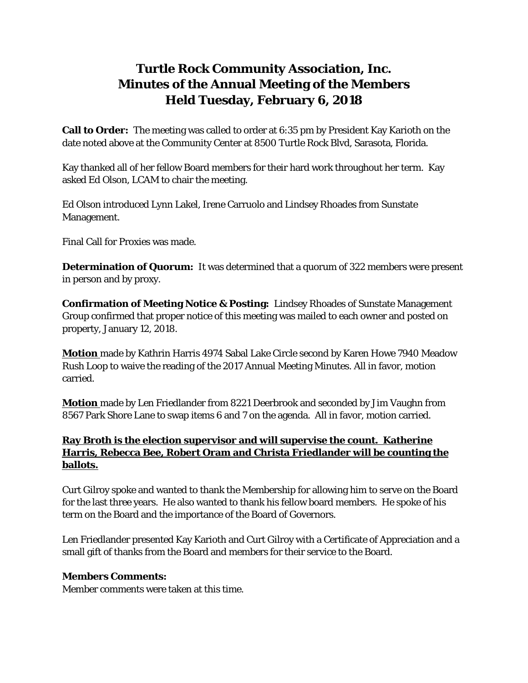## **Turtle Rock Community Association, Inc. Minutes of the Annual Meeting of the Members Held Tuesday, February 6, 2018**

**Call to Order:** The meeting was called to order at 6:35 pm by President Kay Karioth on the date noted above at the Community Center at 8500 Turtle Rock Blvd, Sarasota, Florida.

Kay thanked all of her fellow Board members for their hard work throughout her term. Kay asked Ed Olson, LCAM to chair the meeting.

Ed Olson introduced Lynn Lakel, Irene Carruolo and Lindsey Rhoades from Sunstate Management.

Final Call for Proxies was made.

**Determination of Quorum:** It was determined that a quorum of 322 members were present in person and by proxy.

**Confirmation of Meeting Notice & Posting:** Lindsey Rhoades of Sunstate Management Group confirmed that proper notice of this meeting was mailed to each owner and posted on property, January 12, 2018.

**Motion** made by Kathrin Harris 4974 Sabal Lake Circle second by Karen Howe 7940 Meadow Rush Loop to waive the reading of the 2017 Annual Meeting Minutes. All in favor, motion carried.

**Motion** made by Len Friedlander from 8221 Deerbrook and seconded by Jim Vaughn from 8567 Park Shore Lane to swap items 6 and 7 on the agenda. All in favor, motion carried.

## **Ray Broth is the election supervisor and will supervise the count. Katherine Harris, Rebecca Bee, Robert Oram and Christa Friedlander will be counting the ballots.**

Curt Gilroy spoke and wanted to thank the Membership for allowing him to serve on the Board for the last three years. He also wanted to thank his fellow board members. He spoke of his term on the Board and the importance of the Board of Governors.

Len Friedlander presented Kay Karioth and Curt Gilroy with a Certificate of Appreciation and a small gift of thanks from the Board and members for their service to the Board.

## **Members Comments:**

Member comments were taken at this time.